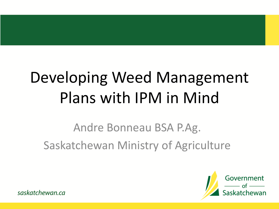## Developing Weed Management Plans with IPM in Mind

#### Andre Bonneau BSA P.Ag. Saskatchewan Ministry of Agriculture



saskatchewan.ca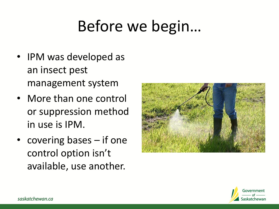## Before we begin…

- IPM was developed as an insect pest management system
- More than one control or suppression method in use is IPM.
- covering bases if one control option isn't available, use another.



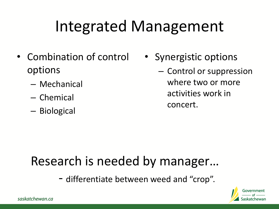## Integrated Management

- Combination of control options
	- Mechanical
	- Chemical
	- Biological
- Synergistic options
	- Control or suppression where two or more activities work in concert.

#### Research is needed by manager…

- differentiate between weed and "crop".



saskatchewan.ca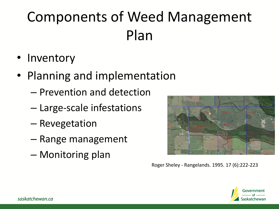### Components of Weed Management Plan

- Inventory
- Planning and implementation
	- Prevention and detection
	- Large-scale infestations
	- Revegetation
	- Range management
	- Monitoring plan



Roger Sheley - Rangelands. 1995. 17 (6):222-223

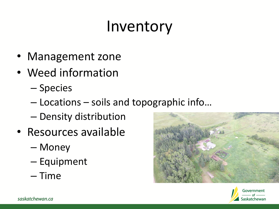### Inventory

- Management zone
- Weed information
	- Species
	- Locations soils and topographic info…
	- Density distribution
- Resources available
	- Money
	- Equipment
	- Time



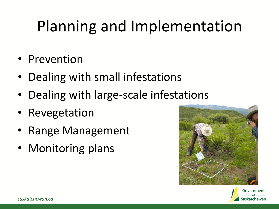## Planning and Implementation

- Prevention
- Dealing with small infestations
- Dealing with large-scale infestations
- Revegetation
- Range Management
- Monitoring plans



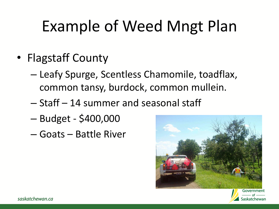## Example of Weed Mngt Plan

- Flagstaff County
	- Leafy Spurge, Scentless Chamomile, toadflax, common tansy, burdock, common mullein.
	- Staff 14 summer and seasonal staff
	- Budget \$400,000
	- Goats Battle River



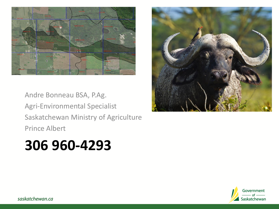

Andre Bonneau BSA, P.Ag. Agri-Environmental Specialist Saskatchewan Ministry of Agriculture Prince Albert

#### **306 960-4293**